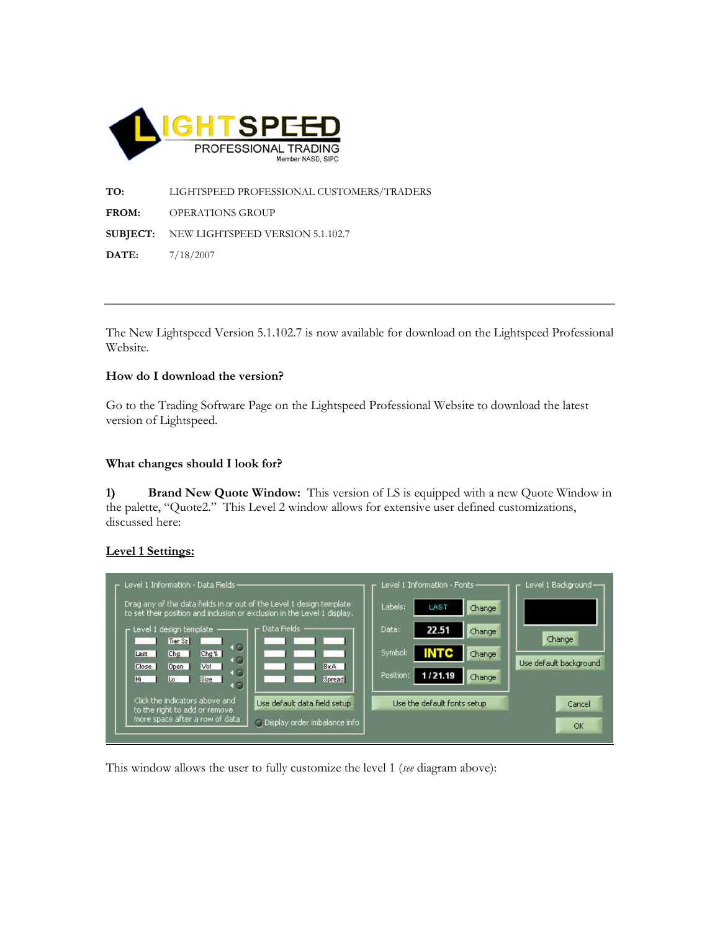

TO: LIGHTSPEED PROFESSIONAL CUSTOMERS/TRADERS FROM: OPERATIONS GROUP SUBJECT: NEW LIGHTSPEED VERSION 5.1.102.7 DATE: 7/18/2007

The New Lightspeed Version 5.1.102.7 is now available for download on the Lightspeed Professional Website.

### How do I download the version?

Go to the Trading Software Page on the Lightspeed Professional Website to download the latest version of Lightspeed.

### What changes should I look for?

1) Brand New Quote Window: This version of LS is equipped with a new Quote Window in the palette, "Quote2." This Level 2 window allows for extensive user defined customizations, discussed here:

## Level 1 Settings:



This window allows the user to fully customize the level 1 (see diagram above):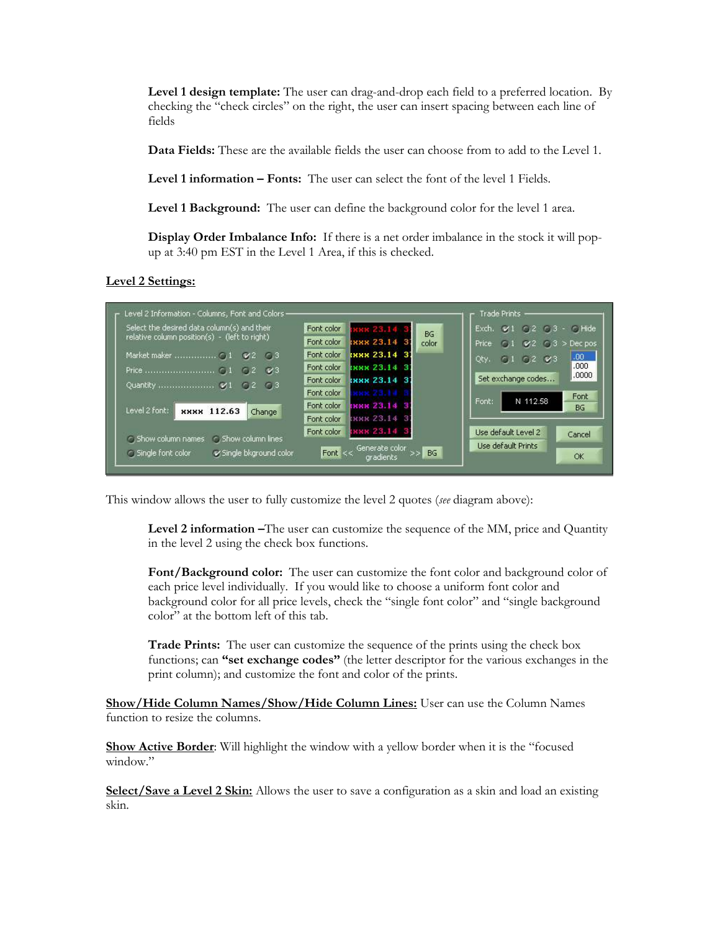Level 1 design template: The user can drag-and-drop each field to a preferred location. By checking the "check circles" on the right, the user can insert spacing between each line of fields

Data Fields: These are the available fields the user can choose from to add to the Level 1.

Level 1 information – Fonts: The user can select the font of the level 1 Fields.

Level 1 Background: The user can define the background color for the level 1 area.

Display Order Imbalance Info: If there is a net order imbalance in the stock it will popup at 3:40 pm EST in the Level 1 Area, if this is checked.

Level 2 Settings:

| Select the desired data column(s) and their                                          | EXXX 23.14 3<br>Font color         | $ \epsilon$ , Hide<br>Exch.<br>C <sub>2</sub> C <sub>3</sub><br>BG |
|--------------------------------------------------------------------------------------|------------------------------------|--------------------------------------------------------------------|
| relative column position(s) - (left to right)                                        | <b>EXXX 23.14 37</b><br>Font color | color<br>Price:<br>$>$ Dec pos<br>C <sub>3</sub><br>V <sub>2</sub> |
| 63<br>$Z^2$                                                                          | IRRR 23.14 3.<br>Font color        | .00.<br>Qty.<br>V3<br>0.2<br>ශ                                     |
| V3                                                                                   | ских 23.14 3<br>Font color         | .000.                                                              |
| Quantity  V1<br>$C1$ 3<br>$C1$ 2                                                     | ERRR 23.14 31<br>Font color        | .0000.<br>Set exchange codes                                       |
|                                                                                      | Font color<br>оос 23.14            | Font                                                               |
| Level 2 font:<br><b>XXXX</b> 112.63<br>Change                                        | ских 23.14 3<br>Font color         | N 112.58<br>Font:<br><b>BG</b>                                     |
|                                                                                      | ник 23.14 3<br>Font color          |                                                                    |
|                                                                                      | INNN 23.14 3<br>Font color         | Lise default Level 2<br>Cancel                                     |
| Show column lines<br>Show column names<br>Single font color<br>Single bkground color | Generate color<br>Font $<<$        | Use default Prints<br><b>BG</b>                                    |

This window allows the user to fully customize the level 2 quotes (see diagram above):

Level 2 information –The user can customize the sequence of the MM, price and Quantity in the level 2 using the check box functions.

Font/Background color: The user can customize the font color and background color of each price level individually. If you would like to choose a uniform font color and background color for all price levels, check the "single font color" and "single background color" at the bottom left of this tab.

**Trade Prints:** The user can customize the sequence of the prints using the check box functions; can "set exchange codes" (the letter descriptor for the various exchanges in the print column); and customize the font and color of the prints.

Show/Hide Column Names/Show/Hide Column Lines: User can use the Column Names function to resize the columns.

**Show Active Border:** Will highlight the window with a yellow border when it is the "focused" window."

Select/Save a Level 2 Skin: Allows the user to save a configuration as a skin and load an existing skin.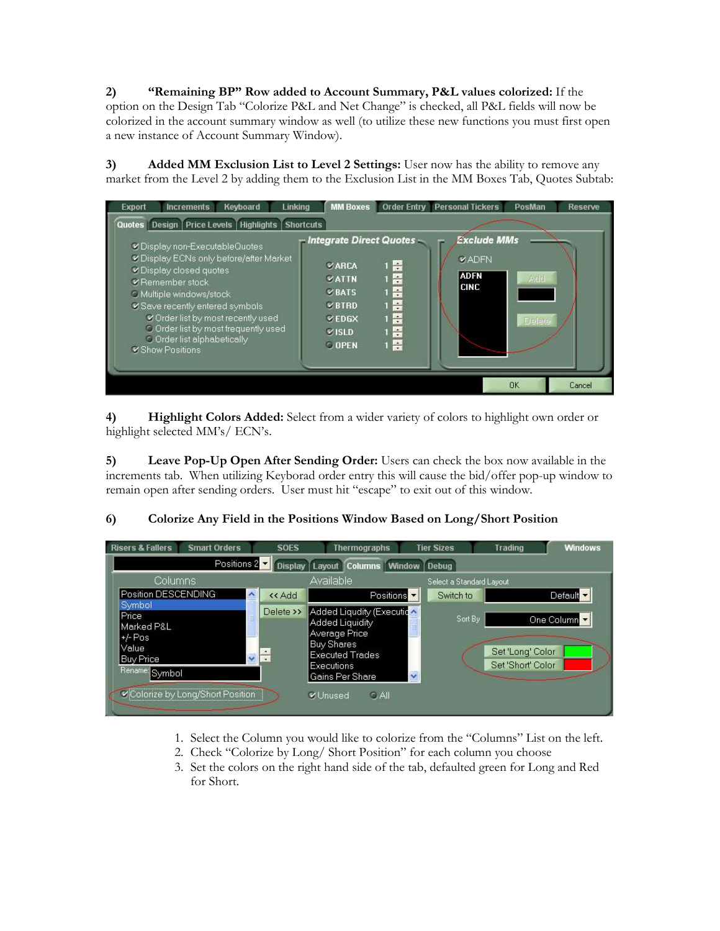2) "Remaining BP" Row added to Account Summary, P&L values colorized: If the option on the Design Tab "Colorize P&L and Net Change" is checked, all P&L fields will now be colorized in the account summary window as well (to utilize these new functions you must first open a new instance of Account Summary Window).

3) Added MM Exclusion List to Level 2 Settings: User now has the ability to remove any market from the Level 2 by adding them to the Exclusion List in the MM Boxes Tab, Quotes Subtab:

| Keyboard<br><b>Increments</b><br><b>Linking</b><br><b>Export</b>                                                                                                                                                                                                                                                                                                                                                                                                                                                                                                                                                                           | <b>MM Boxes</b> |  | <b>Order Entry Personal Tickers</b> | PosMan    | Reserve |  |  |  |
|--------------------------------------------------------------------------------------------------------------------------------------------------------------------------------------------------------------------------------------------------------------------------------------------------------------------------------------------------------------------------------------------------------------------------------------------------------------------------------------------------------------------------------------------------------------------------------------------------------------------------------------------|-----------------|--|-------------------------------------|-----------|---------|--|--|--|
| Quotes   Design   Price Levels   Highlights   Shortcuts                                                                                                                                                                                                                                                                                                                                                                                                                                                                                                                                                                                    |                 |  |                                     |           |         |  |  |  |
| <b>Exclude MMs</b><br>– Integrate Direct Quotes -<br>Display non-ExecutableQuotes<br>V Display ECNs only before/after Market<br><b>VADEN</b><br>$1 \equiv$<br><b>VARCA</b><br>C Display closed quotes<br><b>ADFN</b><br>1 高<br><b>VATTN</b><br>Add<br>■ Remember stock<br><b>CINC</b><br>$\frac{1}{1}$<br><b>VBATS</b><br>O Multiple windows/stock<br>1長<br>VBTRD<br>V Save recently entered symbols<br>$\frac{1}{2}$<br>Corder list by most recently used<br><b>VEDGX</b><br>Delete<br>O Order list by most frequently used<br>$1 -$<br><b>VISLD</b><br>O Order list alphabetically<br>$1 \frac{m}{m}$<br><b>O</b> OPEN<br>Show Positions |                 |  |                                     |           |         |  |  |  |
|                                                                                                                                                                                                                                                                                                                                                                                                                                                                                                                                                                                                                                            |                 |  |                                     | <b>OK</b> | Cancel  |  |  |  |

4) Highlight Colors Added: Select from a wider variety of colors to highlight own order or highlight selected MM's/ ECN's.

5) Leave Pop-Up Open After Sending Order: Users can check the box now available in the increments tab. When utilizing Keyborad order entry this will cause the bid/offer pop-up window to remain open after sending orders. User must hit "escape" to exit out of this window.

# 6) Colorize Any Field in the Positions Window Based on Long/Short Position



- 1. Select the Column you would like to colorize from the "Columns" List on the left.
- 2. Check "Colorize by Long/ Short Position" for each column you choose
- 3. Set the colors on the right hand side of the tab, defaulted green for Long and Red for Short.